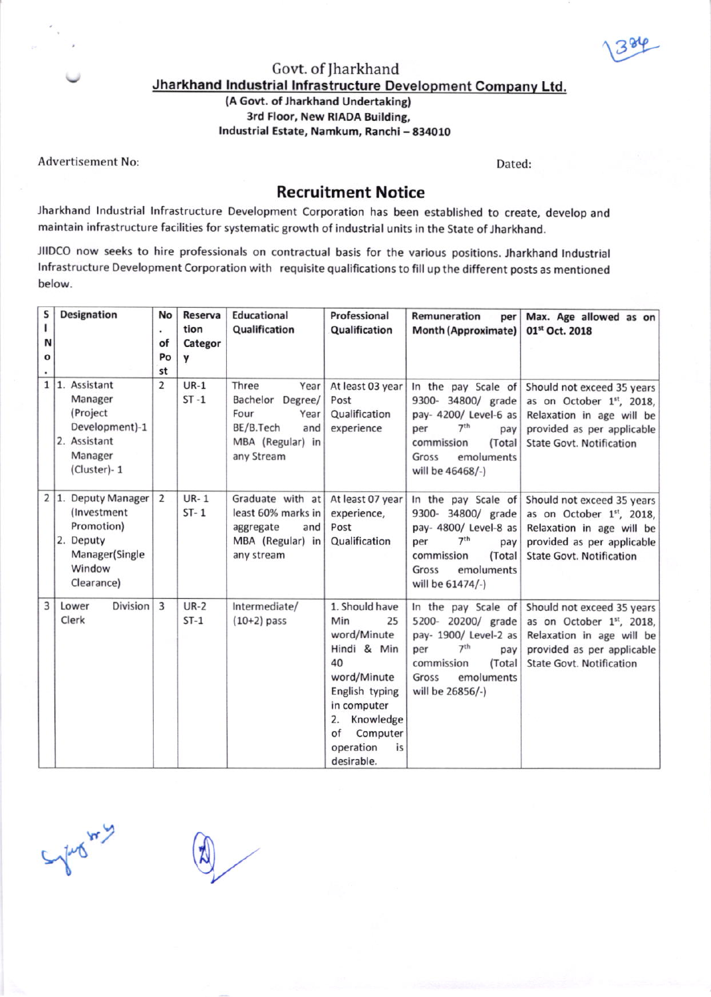1384

## Jharkhand Industrial Infrastructure Development Company Ltd. Govt. of Jharkhand (A Govt. of Jharkhand Undertaking)

3rd Floor, New RIADA Building, Industrial Estate, Namkum, Ranchi - 834010

Advertisement No:

Dated:

## Recruitment Notice

Jherkhand lndustrial lnfrastructure Development Corporation has been established to create, develop and maintain infrastructure facilities for systematic growth of industrial units in the State of Jharkhand.

JIIDCO now seeks to hire professionals on contractual basis for the various positions. Jharkhand Industrial Infrastructure Development Corporation with requisite qualifications to fill up the different posts as mentioned<br>below.

| S | Designation                                                                                              | No             | Reserva                 | <b>Educational</b>                                                                                            | Professional                                                                                                                                                                          | Remuneration<br>per                                                                                                                                                    | Max. Age allowed as on                                                                                                                               |
|---|----------------------------------------------------------------------------------------------------------|----------------|-------------------------|---------------------------------------------------------------------------------------------------------------|---------------------------------------------------------------------------------------------------------------------------------------------------------------------------------------|------------------------------------------------------------------------------------------------------------------------------------------------------------------------|------------------------------------------------------------------------------------------------------------------------------------------------------|
| L |                                                                                                          | ٠              | tion                    | Qualification                                                                                                 | Qualification                                                                                                                                                                         | <b>Month (Approximate)</b>                                                                                                                                             | 01st Oct. 2018                                                                                                                                       |
| N |                                                                                                          | of             | Categor                 |                                                                                                               |                                                                                                                                                                                       |                                                                                                                                                                        |                                                                                                                                                      |
| O |                                                                                                          | Po             | У                       |                                                                                                               |                                                                                                                                                                                       |                                                                                                                                                                        |                                                                                                                                                      |
|   |                                                                                                          | st             |                         |                                                                                                               |                                                                                                                                                                                       |                                                                                                                                                                        |                                                                                                                                                      |
| 1 | 1. Assistant<br>Manager<br>(Project<br>Development)-1<br>2. Assistant<br>Manager<br>(Cluster)-1          | 2              | $UR-1$<br>$ST - 1$      | Three<br>Year<br>Bachelor<br>Degree/<br>Four<br>Year<br>BE/B.Tech<br>and<br>MBA (Regular) in<br>any Stream    | At least 03 year<br>Post<br>Qualification<br>experience                                                                                                                               | In the pay Scale of<br>9300- 34800/ grade<br>pay- 4200/ Level-6 as<br>7 <sup>th</sup><br>per<br>pay<br>commission<br>(Total<br>emoluments<br>Gross<br>will be 46468/-) | Should not exceed 35 years<br>as on October 1st, 2018,<br>Relaxation in age will be<br>provided as per applicable<br><b>State Govt. Notification</b> |
|   | 2 1. Deputy Manager<br>(Investment)<br>Promotion)<br>2. Deputy<br>Manager(Single<br>Window<br>Clearance) | 2              | <b>UR-1</b><br>$ST - 1$ | Graduate with at At least 07 year<br>least 60% marks in<br>aggregate<br>and<br>MBA (Regular) in<br>any stream | experience,<br>Post<br>Qualification                                                                                                                                                  | In the pay Scale of<br>9300- 34800/ grade<br>pay- 4800/ Level-8 as<br>7 <sup>th</sup><br>per<br>pay<br>(Total<br>commission<br>emoluments<br>Gross<br>will be 61474/-) | Should not exceed 35 years<br>as on October 1st, 2018,<br>Relaxation in age will be<br>provided as per applicable<br><b>State Govt. Notification</b> |
| 3 | Division<br>Lower<br>Clerk                                                                               | $\overline{3}$ | $UR-2$<br>$ST-1$        | Intermediate/<br>$(10+2)$ pass                                                                                | 1. Should have<br>Min<br>25<br>word/Minute<br>Hindi & Min<br>40<br>word/Minute<br>English typing<br>in computer<br>Knowledge<br>2.<br>of<br>Computer<br>operation<br>is<br>desirable. | In the pay Scale of<br>5200- 20200/ grade<br>pay- 1900/ Level-2 as<br>7 <sup>th</sup><br>per<br>pay<br>(Total<br>commission<br>emoluments<br>Gross<br>will be 26856/-) | Should not exceed 35 years<br>as on October 1st, 2018,<br>Relaxation in age will be<br>provided as per applicable<br><b>State Govt. Notification</b> |

Sylva 4y